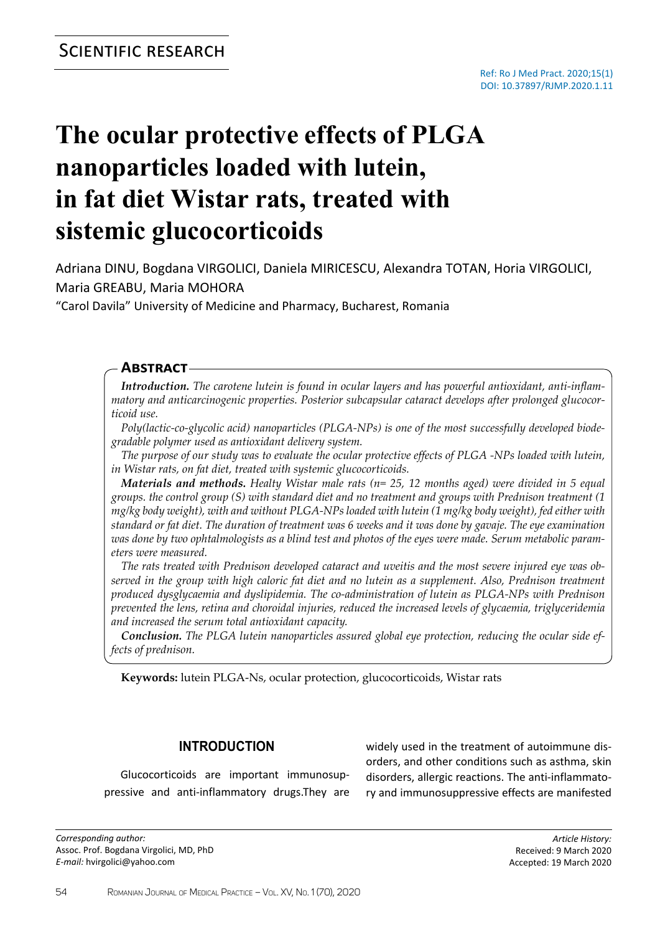# **The ocular protective effects of PLGA nanoparticles loaded with lutein, in fat diet Wistar rats, treated with sistemic glucocorticoids**

Adriana DINU, Bogdana VIRGOLICI, Daniela MIRICESCU, Alexandra TOTAN, Horia VIRGOLICI, Maria GREABU, Maria MOHORA

"Carol Davila" University of Medicine and Pharmacy, Bucharest, Romania

## **Abstract**

*Introduction. The carotene lutein is found in ocular layers and has powerful antioxidant, anti-inflammatory and anticarcinogenic properties. Posterior subcapsular cataract develops after prolonged glucocorticoid use.* 

*Poly(lactic-co-glycolic acid) nanoparticles (PLGA-NPs) is one of the most successfully developed biodegradable polymer used as antioxidant delivery system.*

*The purpose of our study was to evaluate the ocular protective effects of PLGA -NPs loaded with lutein, in Wistar rats, on fat diet, treated with systemic glucocorticoids.*

*Materials and methods. Healty Wistar male rats (n= 25, 12 months aged) were divided in 5 equal groups. the control group (S) with standard diet and no treatment and groups with Prednison treatment (1 mg/kg body weight), with and without PLGA-NPs loaded with lutein (1 mg/kg body weight), fed either with standard or fat diet. The duration of treatment was 6 weeks and it was done by gavaje. The eye examination was done by two ophtalmologists as a blind test and photos of the eyes were made. Serum metabolic parameters were measured.*

*The rats treated with Prednison developed cataract and uveitis and the most severe injured eye was observed in the group with high caloric fat diet and no lutein as a supplement. Also, Prednison treatment produced dysglycaemia and dyslipidemia. The co-administration of lutein as PLGA-NPs with Prednison prevented the lens, retina and choroidal injuries, reduced the increased levels of glycaemia, triglyceridemia and increased the serum total antioxidant capacity.*

*Conclusion. The PLGA lutein nanoparticles assured global eye protection, reducing the ocular side effects of prednison.*

**Keywords:** lutein PLGA-Ns, ocular protection, glucocorticoids, Wistar rats

## **Introduction**

Glucocorticoids are important immunosuppressive and anti-inflammatory drugs.They are

*Corresponding author:* Assoc. Prof. Bogdana Virgolici, MD, PhD *E-mail:* hvirgolici@yahoo.com

widely used in the treatment of autoimmune disorders, and other conditions such as asthma, skin disorders, allergic reactions. The anti-inflammatory and immunosuppressive effects are manifested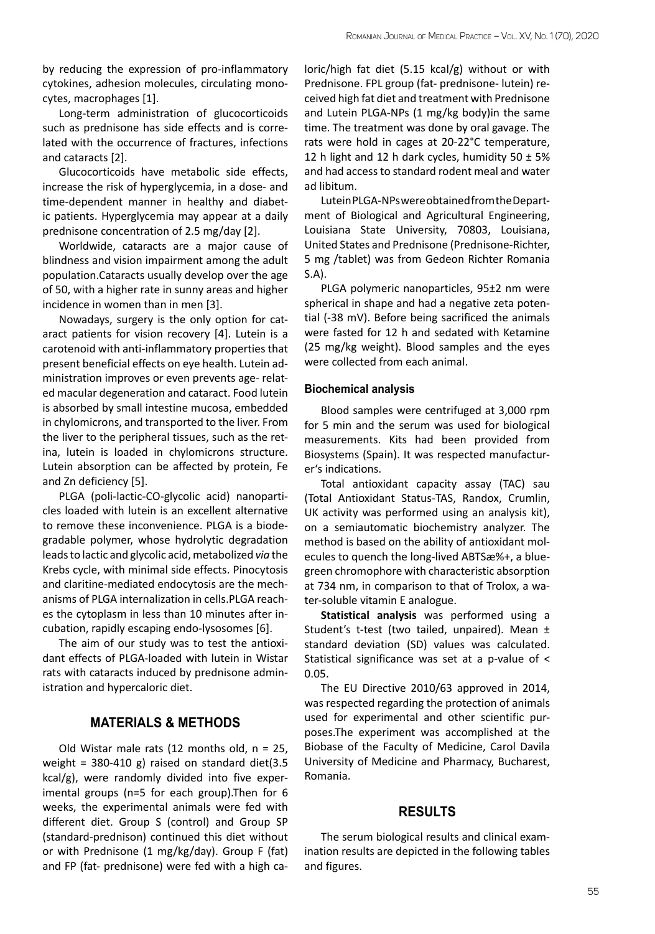by reducing the expression of pro-inflammatory cytokines, adhesion molecules, circulating monocytes, macrophages [1].

Long-term administration of glucocorticoids such as prednisone has side effects and is correlated with the occurrence of fractures, infections and cataracts [2].

Glucocorticoids have metabolic side effects, increase the risk of hyperglycemia, in a dose- and time-dependent manner in healthy and diabetic patients. Hyperglycemia may appear at a daily prednisone concentration of 2.5 mg/day [2].

Worldwide, cataracts are a major cause of blindness and vision impairment among the adult population.Cataracts usually develop over the age of 50, with a higher rate in sunny areas and higher incidence in women than in men [3].

Nowadays, surgery is the only option for cataract patients for vision recovery [4]. Lutein is a carotenoid with anti-inflammatory properties that present beneficial effects on eye health. Lutein administration improves or even prevents age- related macular degeneration and cataract. Food lutein is absorbed by small intestine mucosa, embedded in chylomicrons, and transported to the liver. From the liver to the peripheral tissues, such as the retina, lutein is loaded in chylomicrons structure. Lutein absorption can be affected by protein, Fe and Zn deficiency [5].

PLGA (poli-lactic-CO-glycolic acid) nanoparticles loaded with lutein is an excellent alternative to remove these inconvenience. PLGA is a biodegradable polymer, whose hydrolytic degradation leads to lactic and glycolic acid, metabolized *via* the Krebs cycle, with minimal side effects. Pinocytosis and claritine-mediated endocytosis are the mechanisms of PLGA internalization in cells.PLGA reaches the cytoplasm in less than 10 minutes after incubation, rapidly escaping endo-lysosomes [6].

The aim of our study was to test the antioxidant effects of PLGA-loaded with lutein in Wistar rats with cataracts induced by prednisone administration and hypercaloric diet.

#### **MATERIALS & METHODS**

Old Wistar male rats (12 months old,  $n = 25$ , weight =  $380-410$  g) raised on standard diet(3.5 kcal/g), were randomly divided into five experimental groups (n=5 for each group).Then for 6 weeks, the experimental animals were fed with different diet. Group S (control) and Group SP (standard-prednison) continued this diet without or with Prednisone (1 mg/kg/day). Group F (fat) and FP (fat- prednisone) were fed with a high caloric/high fat diet (5.15 kcal/g) without or with Prednisone. FPL group (fat- prednisone- lutein) received high fat diet and treatment with Prednisone and Lutein PLGA-NPs (1 mg/kg body)in the same time. The treatment was done by oral gavage. The rats were hold in cages at 20-22°C temperature, 12 h light and 12 h dark cycles, humidity  $50 \pm 5\%$ and had access to standard rodent meal and water ad libitum.

Lutein PLGA-NPs were obtained from the Department of Biological and Agricultural Engineering, Louisiana State University, 70803, Louisiana, United States and Prednisone (Prednisone-Richter, 5 mg /tablet) was from Gedeon Richter Romania S.A).

PLGA polymeric nanoparticles, 95±2 nm were spherical in shape and had a negative zeta potential (-38 mV). Before being sacrificed the animals were fasted for 12 h and sedated with Ketamine (25 mg/kg weight). Blood samples and the eyes were collected from each animal.

#### **Biochemical analysis**

Blood samples were centrifuged at 3,000 rpm for 5 min and the serum was used for biological measurements. Kits had been provided from Biosystems (Spain). It was respected manufacturer's indications.

Total antioxidant capacity assay (TAC) sau (Total Antioxidant Status-TAS, Randox, Crumlin, UK activity was performed using an analysis kit), on a semiautomatic biochemistry analyzer. The method is based on the ability of antioxidant molecules to quench the long-lived ABTSæ%+, a bluegreen chromophore with characteristic absorption at 734 nm, in comparison to that of Trolox, a water-soluble vitamin E analogue.

**Statistical analysis** was performed using a Student's t-test (two tailed, unpaired). Mean ± standard deviation (SD) values was calculated. Statistical significance was set at a p-value of < 0.05.

The EU Directive 2010/63 approved in 2014, was respected regarding the protection of animals used for experimental and other scientific purposes.The experiment was accomplished at the Biobase of the Faculty of Medicine, Carol Davila University of Medicine and Pharmacy, Bucharest, Romania.

#### **RESULTS**

The serum biological results and clinical examination results are depicted in the following tables and figures.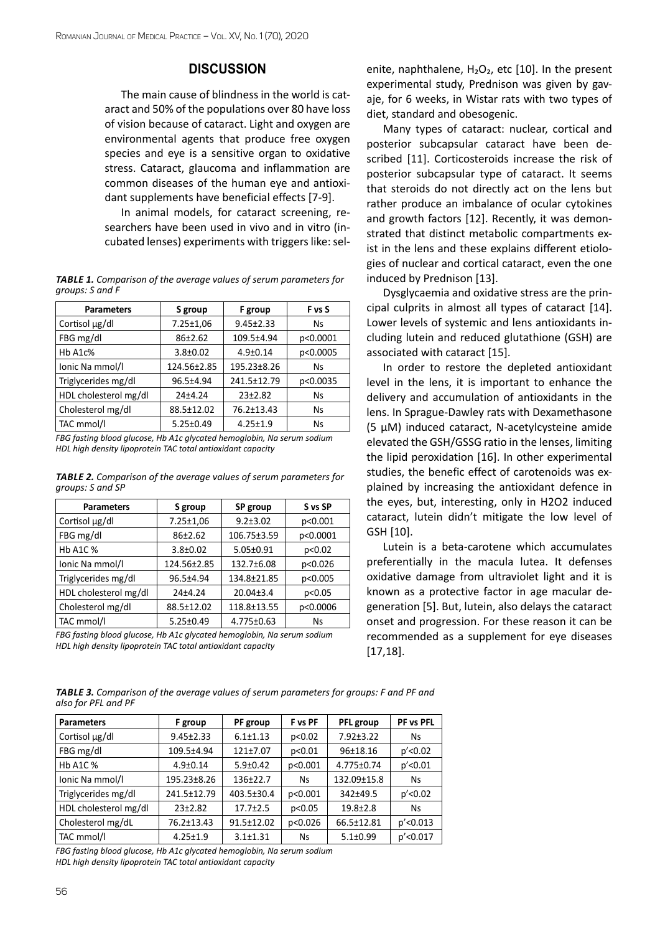#### **DISCUSSION**

The main cause of blindness in the world is cataract and 50% of the populations over 80 have loss of vision because of cataract. Light and oxygen are environmental agents that produce free oxygen species and eye is a sensitive organ to oxidative stress. Cataract, glaucoma and inflammation are common diseases of the human eye and antioxidant supplements have beneficial effects [7-9].

In animal models, for cataract screening, researchers have been used in vivo and in vitro (incubated lenses) experiments with triggers like: sel-

*Table 1. Comparison of the average values of serum parameters for groups: S and F*

| <b>Parameters</b>     | S group         | F group         | F vs S    |
|-----------------------|-----------------|-----------------|-----------|
| Cortisol µg/dl        | $7.25 \pm 1.06$ | $9.45 \pm 2.33$ | <b>Ns</b> |
| FBG mg/dl             | $86+2.62$       | 109.5±4.94      | p<0.0001  |
| $Hb$ A1 $c$ %         | $3.8 \pm 0.02$  | $4.9 + 0.14$    | p<0.0005  |
| Ionic Na mmol/l       | 124.56±2.85     | 195.23±8.26     | <b>Ns</b> |
| Triglycerides mg/dl   | 96.5±4.94       | 241.5±12.79     | p<0.0035  |
| HDL cholesterol mg/dl | $24+4.24$       | $23+2.82$       | <b>Ns</b> |
| Cholesterol mg/dl     | 88.5±12.02      | 76.2±13.43      | <b>Ns</b> |
| TAC mmol/l            | $5.25 \pm 0.49$ | $4.25 \pm 1.9$  | <b>Ns</b> |

*FBG fasting blood glucose, Hb A1c glycated hemoglobin, Na serum sodium HDL high density lipoprotein TAC total antioxidant capacity*

*Table 2. Comparison of the average values of serum parameters for groups: S and SP*

| <b>Parameters</b>     | S group         | SP group         | S vs SP  |
|-----------------------|-----------------|------------------|----------|
| Cortisol µg/dl        | $7.25 \pm 1.06$ | $9.2 + 3.02$     | p<0.001  |
| FBG mg/dl             | $86+2.62$       | 106.75±3.59      | p<0.0001 |
| <b>Hb A1C %</b>       | $3.8 \pm 0.02$  | $5.05 \pm 0.91$  | p<0.02   |
| Ionic Na mmol/I       | 124.56±2.85     | 132.7±6.08       | p<0.026  |
| Triglycerides mg/dl   | 96.5±4.94       | 134.8±21.85      | p<0.005  |
| HDL cholesterol mg/dl | $24+4.24$       | $20.04 \pm 3.4$  | p<0.05   |
| Cholesterol mg/dl     | 88.5±12.02      | 118.8±13.55      | p<0.0006 |
| TAC mmol/l            | $5.25 \pm 0.49$ | $4.775 \pm 0.63$ | Ns       |

*FBG fasting blood glucose, Hb A1c glycated hemoglobin, Na serum sodium HDL high density lipoprotein TAC total antioxidant capacity*

enite, naphthalene,  $H_2O_2$ , etc [10]. In the present experimental study, Prednison was given by gavaje, for 6 weeks, in Wistar rats with two types of diet, standard and obesogenic.

Many types of cataract: nuclear, cortical and posterior subcapsular cataract have been described [11]. Corticosteroids increase the risk of posterior subcapsular type of cataract. It seems that steroids do not directly act on the lens but rather produce an imbalance of ocular cytokines and growth factors [12]. Recently, it was demonstrated that distinct metabolic compartments exist in the lens and these explains different etiologies of nuclear and cortical cataract, even the one induced by Prednison [13].

Dysglycaemia and oxidative stress are the principal culprits in almost all types of cataract [14]. Lower levels of systemic and lens antioxidants including lutein and reduced glutathione (GSH) are associated with cataract [15].

In order to restore the depleted antioxidant level in the lens, it is important to enhance the delivery and accumulation of antioxidants in the lens. In Sprague-Dawley rats with Dexamethasone (5 µM) induced cataract, N-acetylcysteine amide elevated the GSH/GSSG ratio in the lenses, limiting the lipid peroxidation [16]. In other experimental studies, the benefic effect of carotenoids was explained by increasing the antioxidant defence in the eyes, but, interesting, only in H2O2 induced cataract, lutein didn't mitigate the low level of GSH [10].

Lutein is a beta-carotene which accumulates preferentially in the macula lutea. It defenses oxidative damage from ultraviolet light and it is known as a protective factor in age macular degeneration [5]. But, lutein, also delays the cataract onset and progression. For these reason it can be recommended as a supplement for eye diseases [17,18].

*Table 3. Comparison of the average values of serum parameters for groups: F and PF and also for PFL and PF*

| <b>Parameters</b>     | F group         | PF group         | F vs PF | PFL group       | PF vs PFL    |
|-----------------------|-----------------|------------------|---------|-----------------|--------------|
| Cortisol µg/dl        | $9.45 \pm 2.33$ | $6.1 \pm 1.13$   | p<0.02  | $7.92 \pm 3.22$ | <b>Ns</b>    |
| FBG mg/dl             | 109.5±4.94      | $121+7.07$       | p<0.01  | 96±18.16        | p' < 0.02    |
| <b>Hb A1C %</b>       | $4.9 \pm 0.14$  | $5.9 \pm 0.42$   | p<0.001 | 4.775±0.74      | $p'$ < 0.01  |
| Ionic Na mmol/I       | 195.23±8.26     | $136+22.7$       | Ns      | 132.09±15.8     | <b>Ns</b>    |
| Triglycerides mg/dl   | 241.5±12.79     | 403.5±30.4       | p<0.001 | $342 + 49.5$    | p' < 0.02    |
| HDL cholesterol mg/dl | $23+2.82$       | $17.7 + 2.5$     | p<0.05  | $19.8 \pm 2.8$  | <b>Ns</b>    |
| Cholesterol mg/dL     | 76.2±13.43      | $91.5 \pm 12.02$ | p<0.026 | 66.5±12.81      | $p'$ < 0.013 |
| TAC mmol/l            | $4.25 \pm 1.9$  | $3.1 \pm 1.31$   | Ns      | $5.1 \pm 0.99$  | $p'$ < 0.017 |

*FBG fasting blood glucose, Hb A1c glycated hemoglobin, Na serum sodium*

*HDL high density lipoprotein TAC total antioxidant capacity*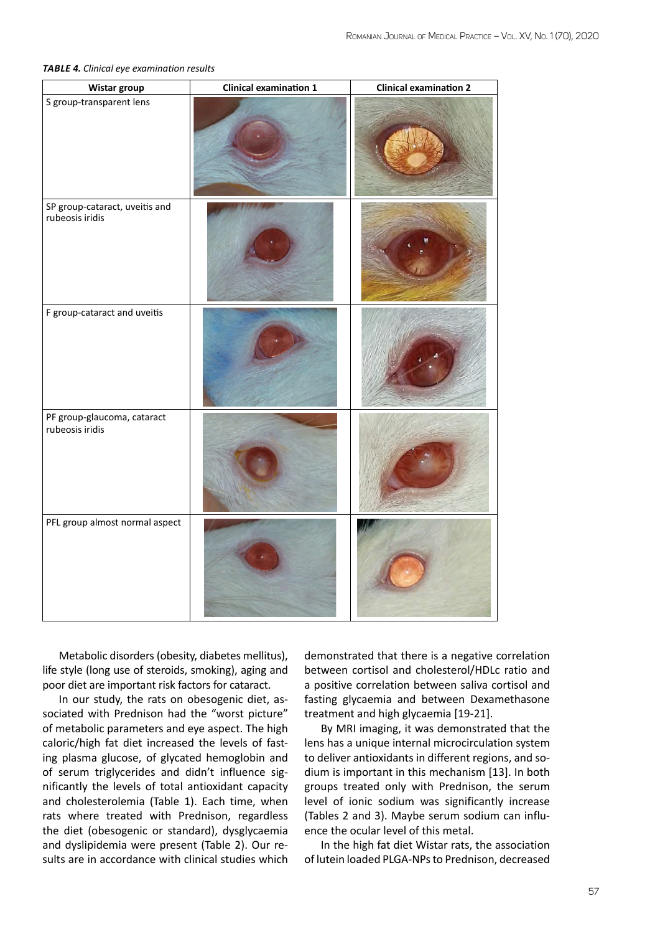| Wistar group                                      | <b>Clinical examination 1</b> | <b>Clinical examination 2</b> |
|---------------------------------------------------|-------------------------------|-------------------------------|
| S group-transparent lens                          |                               |                               |
| SP group-cataract, uveitis and<br>rubeosis iridis |                               |                               |
| F group-cataract and uveitis                      |                               |                               |
| PF group-glaucoma, cataract<br>rubeosis iridis    |                               |                               |
| PFL group almost normal aspect                    |                               |                               |

#### *Table 4. Clinical eye examination results*

Metabolic disorders (obesity, diabetes mellitus), life style (long use of steroids, smoking), aging and poor diet are important risk factors for cataract.

In our study, the rats on obesogenic diet, associated with Prednison had the "worst picture" of metabolic parameters and eye aspect. The high caloric/high fat diet increased the levels of fasting plasma glucose, of glycated hemoglobin and of serum triglycerides and didn't influence significantly the levels of total antioxidant capacity and cholesterolemia (Table 1). Each time, when rats where treated with Prednison, regardless the diet (obesogenic or standard), dysglycaemia and dyslipidemia were present (Table 2). Our results are in accordance with clinical studies which

demonstrated that there is a negative correlation between cortisol and cholesterol/HDLc ratio and a positive correlation between saliva cortisol and fasting glycaemia and between Dexamethasone treatment and high glycaemia [19-21].

By MRI imaging, it was demonstrated that the lens has a unique internal microcirculation system to deliver antioxidants in different regions, and sodium is important in this mechanism [13]. In both groups treated only with Prednison, the serum level of ionic sodium was significantly increase (Tables 2 and 3). Maybe serum sodium can influence the ocular level of this metal.

In the high fat diet Wistar rats, the association of lutein loaded PLGA-NPs to Prednison, decreased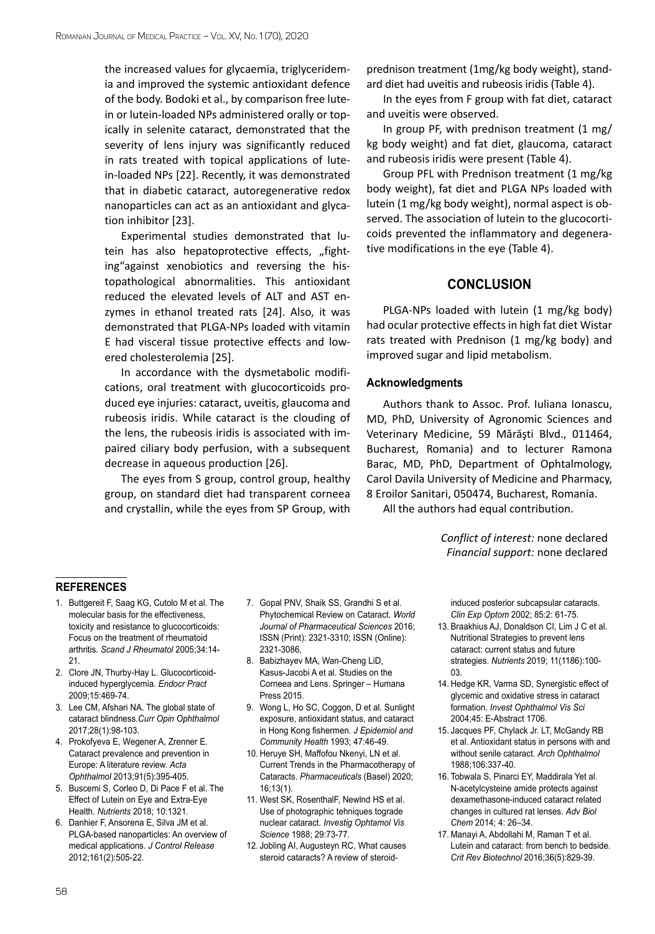the increased values for glycaemia, triglyceridemia and improved the systemic antioxidant defence of the body. Bodoki et al., by comparison free lutein or lutein-loaded NPs administered orally or topically in selenite cataract, demonstrated that the severity of lens injury was significantly reduced in rats treated with topical applications of lutein-loaded NPs [22]. Recently, it was demonstrated that in diabetic cataract, autoregenerative redox nanoparticles can act as an antioxidant and glycation inhibitor [23].

Experimental studies demonstrated that lutein has also hepatoprotective effects, "fighting"against xenobiotics and reversing the histopathological abnormalities. This antioxidant reduced the elevated levels of ALT and AST enzymes in ethanol treated rats [24]. Also, it was demonstrated that PLGA-NPs loaded with vitamin E had visceral tissue protective effects and lowered cholesterolemia [25].

In accordance with the dysmetabolic modifications, oral treatment with glucocorticoids produced eye injuries: cataract, uveitis, glaucoma and rubeosis iridis. While cataract is the clouding of the lens, the rubeosis iridis is associated with impaired [ciliary body](https://www.sciencedirect.com/topics/medicine-and-dentistry/ciliary-body) perfusion, with a subsequent decrease in aqueous production [26].

The eyes from S group, control group, healthy group, on standard diet had transparent corneea and crystallin, while the eyes from SP Group, with prednison treatment (1mg/kg body weight), standard diet had uveitis and rubeosis iridis (Table 4).

In the eyes from F group with fat diet, cataract and uveitis were observed.

In group PF, with prednison treatment (1 mg/ kg body weight) and fat diet, glaucoma, cataract and rubeosis iridis were present (Table 4).

Group PFL with Prednison treatment (1 mg/kg body weight), fat diet and PLGA NPs loaded with lutein (1 mg/kg body weight), normal aspect is observed. The association of lutein to the glucocorticoids prevented the inflammatory and degenerative modifications in the eye (Table 4).

#### **CONCLUSION**

PLGA-NPs loaded with lutein (1 mg/kg body) had ocular protective effects in high fat diet Wistar rats treated with Prednison (1 mg/kg body) and improved sugar and lipid metabolism.

#### **Acknowledgments**

Authors thank to Assoc. Prof. Iuliana Ionascu, MD, PhD, University of Agronomic Sciences and Veterinary Medicine, 59 Mărăşti Blvd., 011464, Bucharest, Romania) and to lecturer Ramona Barac, MD, PhD, Department of Ophtalmology, Carol Davila University of Medicine and Pharmacy, 8 Eroilor Sanitari, 050474, Bucharest, Romania.

All the authors had equal contribution.

*Conflict of interest:* none declared *Financial support:* none declared

#### **references**

- 1. Buttgereit F, Saag KG, Cutolo M et al. The molecular basis for the effectiveness, toxicity and resistance to glucocorticoids: Focus on the treatment of rheumatoid arthritis. *Scand J Rheumatol* 2005;34:14- 21.
- 2. Clore JN, Thurby-Hay L. Glucocorticoidinduced hyperglycemia. *Endocr Pract* 2009;15:469-74.
- 3. [Lee CM,](https://www.ncbi.nlm.nih.gov/pubmed/?term=Lee CM%5BAuthor%5D&cauthor=true&cauthor_uid=27820750) [Afshari NA.](https://www.ncbi.nlm.nih.gov/pubmed/?term=Afshari NA%5BAuthor%5D&cauthor=true&cauthor_uid=27820750) The global state of cataract blindness.*[Curr Opin Ophthalmol](https://www.ncbi.nlm.nih.gov/pubmed/27820750)* 2017;28(1):98-103.
- 4. [Prokofyeva E](https://www.ncbi.nlm.nih.gov/pubmed/?term=Prokofyeva E%5BAuthor%5D&cauthor=true&cauthor_uid=22715900), [Wegener A,](https://www.ncbi.nlm.nih.gov/pubmed/?term=Wegener A%5BAuthor%5D&cauthor=true&cauthor_uid=22715900) [Zrenner E.](https://www.ncbi.nlm.nih.gov/pubmed/?term=Zrenner E%5BAuthor%5D&cauthor=true&cauthor_uid=22715900) Cataract prevalence and prevention in Europe: A literature review. *Acta Ophthalmol* 2013;91(5):395-405.
- 5. [Buscemi](https://www.ncbi.nlm.nih.gov/pubmed/?term=Buscemi S%5BAuthor%5D&cauthor=true&cauthor_uid=30231532) S, [Corleo](https://www.ncbi.nlm.nih.gov/pubmed/?term=Corleo D%5BAuthor%5D&cauthor=true&cauthor_uid=30231532) D, [Di Pace](https://www.ncbi.nlm.nih.gov/pubmed/?term=Di Pace F%5BAuthor%5D&cauthor=true&cauthor_uid=30231532) F et al. The Effect of Lutein on Eye and Extra-Eye Health. *Nutrients* 2018; 10:1321.
- 6. Danhier F, Ansorena E, Silva JM et al. PLGA-based nanoparticles: An overview of medical applications. *J Control Release* 2012;161(2):505-22.
- 7. Gopal PNV, Shaik SS, Grandhi S et al. Phytochemical Review on Cataract. *World Journal of Pharmaceutical Sciences* 2016; ISSN (Print): 2321-3310; ISSN (Online): 2321-3086,
- 8. Babizhayev MA, Wan-Cheng LiD, Kasus-Jacobi A et al. Studies on the Corneea and Lens. Springer – Humana Press 2015.
- 9. Wong L, Ho SC, Coggon, D et al. Sunlight exposure, antioxidant status, and cataract in Hong Kong fishermen. *J Epidemiol and Community Health* 1993; 47:46-49.
- 10. Heruye SH, Maffofou Nkenyi, LN et al. Current Trends in the Pharmacotherapy of Cataracts. *Pharmaceuticals* (Basel) 2020; 16;13(1).
- 11. West SK, RosenthalF, Newlnd HS et al. Use of photographic tehniques tograde nuclear cataract. *Investig Ophtamol Vis Science* 1988; 29:73-77.
- 12. [Jobling AI](https://www.ncbi.nlm.nih.gov/pubmed/?term=Jobling AI%5BAuthor%5D&cauthor=true&cauthor_uid=11952401), [Augusteyn RC](https://www.ncbi.nlm.nih.gov/pubmed/?term=Augusteyn RC%5BAuthor%5D&cauthor=true&cauthor_uid=11952401), What causes steroid cataracts? A review of steroid-

induced posterior subcapsular cataracts. *Clin Exp Optom* 2002; 85:2: 61-75.

- 13. Braakhius AJ, Donaldson CI, Lim J C et al. Nutritional Strategies to prevent lens cataract: current status and future strategies. *Nutrients* 2019; 11(1186):100- 03.
- 14. Hedge KR, Varma SD, Synergistic effect of glycemic and oxidative stress in cataract formation. *Invest Ophthalmol Vis Sci* 2004;45: E-Abstract 1706.
- 15. Jacques PF, Chylack Jr. LT, McGandy RB et al. Antioxidant status in persons with and without senile cataract. *Arch Ophthalmol* 1988;106:337-40.
- 16. Tobwala S, Pinarci EY, Maddirala Yet al. N-acetylcysteine amide protects against dexamethasone-induced cataract related changes in cultured rat lenses. *Adv Biol Chem* 2014; 4: 26–34.
- 17. [Manayi A,](https://www.ncbi.nlm.nih.gov/pubmed/?term=Manayi A%5BAuthor%5D&cauthor=true&cauthor_uid=26042352) [Abdollahi M](https://www.ncbi.nlm.nih.gov/pubmed/?term=Abdollahi M%5BAuthor%5D&cauthor=true&cauthor_uid=26042352), [Raman T](https://www.ncbi.nlm.nih.gov/pubmed/?term=Raman T%5BAuthor%5D&cauthor=true&cauthor_uid=26042352) et al. Lutein and cataract: from bench to bedside. *[Crit Rev Biotechnol](https://www.ncbi.nlm.nih.gov/pubmed/26042352)* 2016;36(5):829-39.